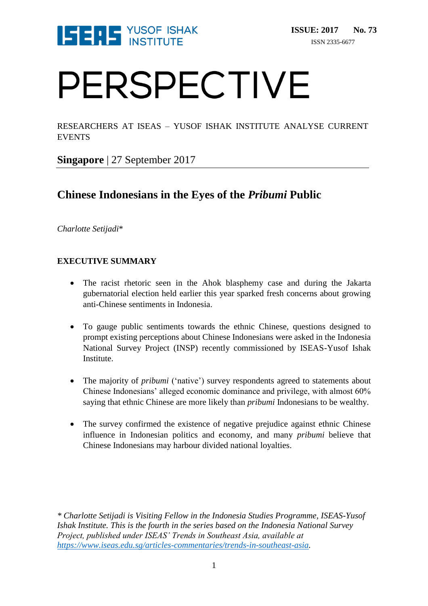

# PERSPECTIVE

RESEARCHERS AT ISEAS – YUSOF ISHAK INSTITUTE ANALYSE CURRENT EVENTS

**Singapore** | 27 September 2017

### **Chinese Indonesians in the Eyes of the** *Pribumi* **Public**

*Charlotte Setijadi*\*

#### **EXECUTIVE SUMMARY**

- The racist rhetoric seen in the Ahok blasphemy case and during the Jakarta gubernatorial election held earlier this year sparked fresh concerns about growing anti-Chinese sentiments in Indonesia.
- To gauge public sentiments towards the ethnic Chinese, questions designed to prompt existing perceptions about Chinese Indonesians were asked in the Indonesia National Survey Project (INSP) recently commissioned by ISEAS-Yusof Ishak Institute.
- The majority of *pribumi* ('native') survey respondents agreed to statements about Chinese Indonesians' alleged economic dominance and privilege, with almost 60% saying that ethnic Chinese are more likely than *pribumi* Indonesians to be wealthy.
- The survey confirmed the existence of negative prejudice against ethnic Chinese influence in Indonesian politics and economy, and many *pribumi* believe that Chinese Indonesians may harbour divided national loyalties.

*\* Charlotte Setijadi is Visiting Fellow in the Indonesia Studies Programme, ISEAS-Yusof Ishak Institute. This is the fourth in the series based on the Indonesia National Survey Project, published under ISEAS' Trends in Southeast Asia, available at [https://www.iseas.edu.sg/articles-commentaries/trends-in-southeast-asia.](https://www.iseas.edu.sg/articles-commentaries/trends-in-southeast-asia)*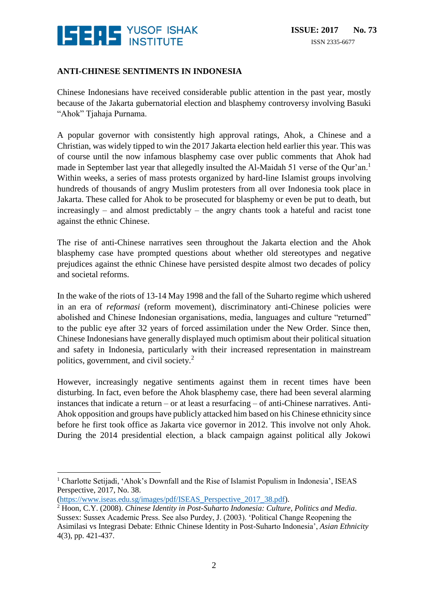

#### **ANTI-CHINESE SENTIMENTS IN INDONESIA**

Chinese Indonesians have received considerable public attention in the past year, mostly because of the Jakarta gubernatorial election and blasphemy controversy involving Basuki "Ahok" Tjahaja Purnama.

A popular governor with consistently high approval ratings, Ahok, a Chinese and a Christian, was widely tipped to win the 2017 Jakarta election held earlier this year. This was of course until the now infamous blasphemy case over public comments that Ahok had made in September last year that allegedly insulted the Al-Maidah 51 verse of the Qur'an.<sup>1</sup> Within weeks, a series of mass protests organized by hard-line Islamist groups involving hundreds of thousands of angry Muslim protesters from all over Indonesia took place in Jakarta. These called for Ahok to be prosecuted for blasphemy or even be put to death, but increasingly – and almost predictably – the angry chants took a hateful and racist tone against the ethnic Chinese.

The rise of anti-Chinese narratives seen throughout the Jakarta election and the Ahok blasphemy case have prompted questions about whether old stereotypes and negative prejudices against the ethnic Chinese have persisted despite almost two decades of policy and societal reforms.

In the wake of the riots of 13-14 May 1998 and the fall of the Suharto regime which ushered in an era of *reformasi* (reform movement), discriminatory anti-Chinese policies were abolished and Chinese Indonesian organisations, media, languages and culture "returned" to the public eye after 32 years of forced assimilation under the New Order. Since then, Chinese Indonesians have generally displayed much optimism about their political situation and safety in Indonesia, particularly with their increased representation in mainstream politics, government, and civil society.<sup>2</sup>

However, increasingly negative sentiments against them in recent times have been disturbing. In fact, even before the Ahok blasphemy case, there had been several alarming instances that indicate a return – or at least a resurfacing – of anti-Chinese narratives. Anti-Ahok opposition and groups have publicly attacked him based on his Chinese ethnicity since before he first took office as Jakarta vice governor in 2012. This involve not only Ahok. During the 2014 presidential election, a black campaign against political ally Jokowi

<sup>&</sup>lt;u>.</u> <sup>1</sup> Charlotte Setijadi, 'Ahok's Downfall and the Rise of Islamist Populism in Indonesia', ISEAS Perspective, 2017, No. 38.

[<sup>\(</sup>https://www.iseas.edu.sg/images/pdf/ISEAS\\_Perspective\\_2017\\_38.pdf\)](https://www.iseas.edu.sg/images/pdf/ISEAS_Perspective_2017_38.pdf).

<sup>2</sup> Hoon, C.Y. (2008). *Chinese Identity in Post-Suharto Indonesia: Culture, Politics and Media*. Sussex: Sussex Academic Press. See also Purdey, J. (2003). 'Political Change Reopening the Asimilasi vs Integrasi Debate: Ethnic Chinese Identity in Post-Suharto Indonesia', *Asian Ethnicity* 4(3), pp. 421-437.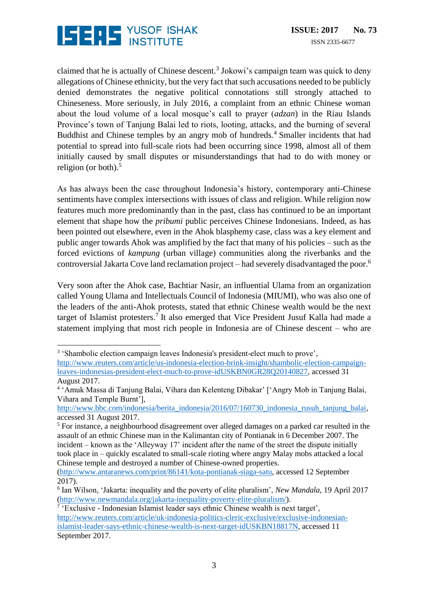

 $\overline{a}$ 

claimed that he is actually of Chinese descent.<sup>3</sup> Jokowi's campaign team was quick to deny allegations of Chinese ethnicity, but the very fact that such accusations needed to be publicly denied demonstrates the negative political connotations still strongly attached to Chineseness. More seriously, in July 2016, a complaint from an ethnic Chinese woman about the loud volume of a local mosque's call to prayer (*adzan*) in the Riau Islands Province's town of Tanjung Balai led to riots, looting, attacks, and the burning of several Buddhist and Chinese temples by an angry mob of hundreds.<sup>4</sup> Smaller incidents that had potential to spread into full-scale riots had been occurring since 1998, almost all of them initially caused by small disputes or misunderstandings that had to do with money or religion (or both). $5$ 

As has always been the case throughout Indonesia's history, contemporary anti-Chinese sentiments have complex intersections with issues of class and religion. While religion now features much more predominantly than in the past, class has continued to be an important element that shape how the *pribumi* public perceives Chinese Indonesians. Indeed, as has been pointed out elsewhere, even in the Ahok blasphemy case, class was a key element and public anger towards Ahok was amplified by the fact that many of his policies – such as the forced evictions of *kampung* (urban village) communities along the riverbanks and the controversial Jakarta Cove land reclamation project – had severely disadvantaged the poor.<sup>6</sup>

Very soon after the Ahok case, Bachtiar Nasir, an influential Ulama from an organization called Young Ulama and Intellectuals Council of Indonesia (MIUMI), who was also one of the leaders of the anti-Ahok protests, stated that ethnic Chinese wealth would be the next target of Islamist protesters.<sup>7</sup> It also emerged that Vice President Jusuf Kalla had made a statement implying that most rich people in Indonesia are of Chinese descent – who are

<sup>&</sup>lt;sup>3</sup> 'Shambolic election campaign leaves Indonesia's president-elect much to prove', [http://www.reuters.com/article/us-indonesia-election-brink-insight/shambolic-election-campaign](http://www.reuters.com/article/us-indonesia-election-brink-insight/shambolic-election-campaign-leaves-indonesias-president-elect-much-to-prove-idUSKBN0GR28Q20140827)[leaves-indonesias-president-elect-much-to-prove-idUSKBN0GR28Q20140827,](http://www.reuters.com/article/us-indonesia-election-brink-insight/shambolic-election-campaign-leaves-indonesias-president-elect-much-to-prove-idUSKBN0GR28Q20140827) accessed 31 August 2017.

<sup>4</sup> 'Amuk Massa di Tanjung Balai, Vihara dan Kelenteng Dibakar' ['Angry Mob in Tanjung Balai, Vihara and Temple Burnt'],

[http://www.bbc.com/indonesia/berita\\_indonesia/2016/07/160730\\_indonesia\\_rusuh\\_tanjung\\_balai,](http://www.bbc.com/indonesia/berita_indonesia/2016/07/160730_indonesia_rusuh_tanjung_balai) accessed 31 August 2017.

<sup>&</sup>lt;sup>5</sup> For instance, a neighbourhood disagreement over alleged damages on a parked car resulted in the assault of an ethnic Chinese man in the Kalimantan city of Pontianak in 6 December 2007. The incident – known as the 'Alleyway 17' incident after the name of the street the dispute initially took place in – quickly escalated to small-scale rioting where angry Malay mobs attacked a local Chinese temple and destroyed a number of Chinese-owned properties.

[<sup>\(</sup>http://www.antaranews.com/print/86141/kota-pontianak-siaga-satu,](http://www.antaranews.com/print/86141/kota-pontianak-siaga-satu) accessed 12 September 2017).

<sup>6</sup> Ian Wilson, 'Jakarta: inequality and the poverty of elite pluralism', *New Mandala*, 19 April 2017 [\(http://www.newmandala.org/jakarta-inequality-poverty-elite-pluralism/\)](http://www.newmandala.org/jakarta-inequality-poverty-elite-pluralism/).

<sup>&</sup>lt;sup>7</sup> 'Exclusive - Indonesian Islamist leader says ethnic Chinese wealth is next target', [http://www.reuters.com/article/uk-indonesia-politics-cleric-exclusive/exclusive-indonesian](http://www.reuters.com/article/uk-indonesia-politics-cleric-exclusive/exclusive-indonesian-islamist-leader-says-ethnic-chinese-wealth-is-next-target-idUSKBN18817N)[islamist-leader-says-ethnic-chinese-wealth-is-next-target-idUSKBN18817N,](http://www.reuters.com/article/uk-indonesia-politics-cleric-exclusive/exclusive-indonesian-islamist-leader-says-ethnic-chinese-wealth-is-next-target-idUSKBN18817N) accessed 11 September 2017.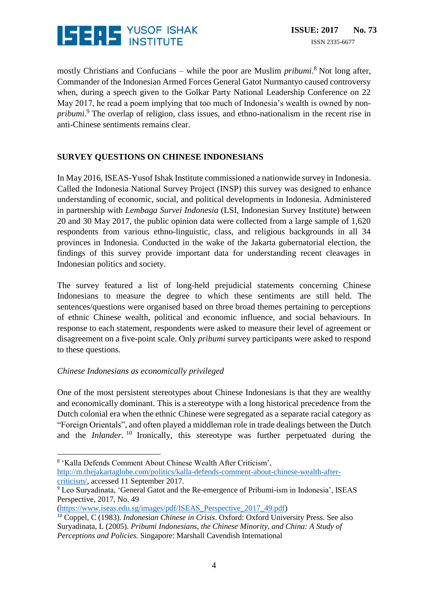

mostly Christians and Confucians – while the poor are Muslim *pribumi*. <sup>8</sup> Not long after, Commander of the Indonesian Armed Forces General Gatot Nurmantyo caused controversy when, during a speech given to the Golkar Party National Leadership Conference on 22 May 2017, he read a poem implying that too much of Indonesia's wealth is owned by non*pribumi*. <sup>9</sup> The overlap of religion, class issues, and ethno-nationalism in the recent rise in anti-Chinese sentiments remains clear.

#### **SURVEY QUESTIONS ON CHINESE INDONESIANS**

In May 2016, ISEAS-Yusof Ishak Institute commissioned a nationwide survey in Indonesia. Called the Indonesia National Survey Project (INSP) this survey was designed to enhance understanding of economic, social, and political developments in Indonesia. Administered in partnership with *Lembaga Survei Indonesia* (LSI, Indonesian Survey Institute) between 20 and 30 May 2017, the public opinion data were collected from a large sample of 1,620 respondents from various ethno-linguistic, class, and religious backgrounds in all 34 provinces in Indonesia. Conducted in the wake of the Jakarta gubernatorial election, the findings of this survey provide important data for understanding recent cleavages in Indonesian politics and society.

The survey featured a list of long-held prejudicial statements concerning Chinese Indonesians to measure the degree to which these sentiments are still held. The sentences/questions were organised based on three broad themes pertaining to perceptions of ethnic Chinese wealth, political and economic influence, and social behaviours. In response to each statement, respondents were asked to measure their level of agreement or disagreement on a five-point scale. Only *pribumi* survey participants were asked to respond to these questions.

#### *Chinese Indonesians as economically privileged*

 $\overline{a}$ 

One of the most persistent stereotypes about Chinese Indonesians is that they are wealthy and economically dominant. This is a stereotype with a long historical precedence from the Dutch colonial era when the ethnic Chinese were segregated as a separate racial category as "Foreign Orientals", and often played a middleman role in trade dealings between the Dutch and the *Inlander*. <sup>10</sup> Ironically, this stereotype was further perpetuated during the

[\(https://www.iseas.edu.sg/images/pdf/ISEAS\\_Perspective\\_2017\\_49.pdf\)](https://www.iseas.edu.sg/images/pdf/ISEAS_Perspective_2017_49.pdf)

<sup>8</sup> 'Kalla Defends Comment About Chinese Wealth After Criticism', [http://m.thejakartaglobe.com/politics/kalla-defends-comment-about-chinese-wealth-after](http://m.thejakartaglobe.com/politics/kalla-defends-comment-about-chinese-wealth-after-criticism/)[criticism/,](http://m.thejakartaglobe.com/politics/kalla-defends-comment-about-chinese-wealth-after-criticism/) accessed 11 September 2017.

<sup>9</sup> Leo Suryadinata, 'General Gatot and the Re-emergence of Pribumi-ism in Indonesia', ISEAS Perspective, 2017, No. 49

<sup>10</sup> Coppel, C (1983). *Indonesian Chinese in Crisis*. Oxford: Oxford University Press. See also Suryadinata, L (2005). *Pribumi Indonesians, the Chinese Minority, and China: A Study of Perceptions and Policies.* Singapore: Marshall Cavendish International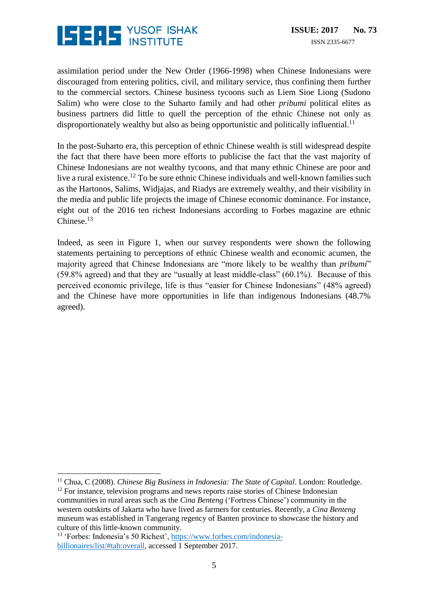

assimilation period under the New Order (1966-1998) when Chinese Indonesians were discouraged from entering politics, civil, and military service, thus confining them further to the commercial sectors. Chinese business tycoons such as Liem Sioe Liong (Sudono Salim) who were close to the Suharto family and had other *pribumi* political elites as business partners did little to quell the perception of the ethnic Chinese not only as disproportionately wealthy but also as being opportunistic and politically influential.<sup>11</sup>

In the post-Suharto era, this perception of ethnic Chinese wealth is still widespread despite the fact that there have been more efforts to publicise the fact that the vast majority of Chinese Indonesians are not wealthy tycoons, and that many ethnic Chinese are poor and live a rural existence.<sup>12</sup> To be sure ethnic Chinese individuals and well-known families such as the Hartonos, Salims, Widjajas, and Riadys are extremely wealthy, and their visibility in the media and public life projects the image of Chinese economic dominance. For instance, eight out of the 2016 ten richest Indonesians according to Forbes magazine are ethnic Chinese. $13$ 

Indeed, as seen in Figure 1, when our survey respondents were shown the following statements pertaining to perceptions of ethnic Chinese wealth and economic acumen, the majority agreed that Chinese Indonesians are "more likely to be wealthy than *pribumi*" (59.8% agreed) and that they are "usually at least middle-class" (60.1%). Because of this perceived economic privilege, life is thus "easier for Chinese Indonesians" (48% agreed) and the Chinese have more opportunities in life than indigenous Indonesians (48.7% agreed).

 $\overline{a}$ 

<sup>&</sup>lt;sup>11</sup> Chua, C (2008). *Chinese Big Business in Indonesia: The State of Capital*. London: Routledge.

 $12$  For instance, television programs and news reports raise stories of Chinese Indonesian communities in rural areas such as the *Cina Benteng* ('Fortress Chinese') community in the western outskirts of Jakarta who have lived as farmers for centuries. Recently, a *Cina Benteng* museum was established in Tangerang regency of Banten province to showcase the history and culture of this little-known community.

<sup>13</sup> 'Forbes: Indonesia's 50 Richest', [https://www.forbes.com/indonesia](https://www.forbes.com/indonesia-billionaires/list/#tab:overall)[billionaires/list/#tab:overall,](https://www.forbes.com/indonesia-billionaires/list/#tab:overall) accessed 1 September 2017.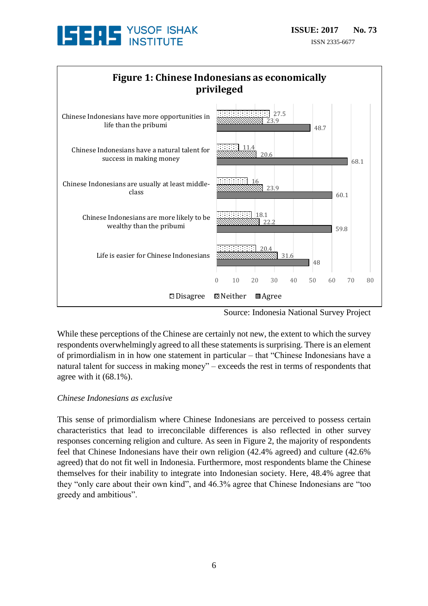



Source: Indonesia National Survey Project

While these perceptions of the Chinese are certainly not new, the extent to which the survey respondents overwhelmingly agreed to all these statements is surprising. There is an element of primordialism in in how one statement in particular – that "Chinese Indonesians have a natural talent for success in making money" – exceeds the rest in terms of respondents that agree with it (68.1%).

#### *Chinese Indonesians as exclusive*

This sense of primordialism where Chinese Indonesians are perceived to possess certain characteristics that lead to irreconcilable differences is also reflected in other survey responses concerning religion and culture. As seen in Figure 2, the majority of respondents feel that Chinese Indonesians have their own religion (42.4% agreed) and culture (42.6% agreed) that do not fit well in Indonesia. Furthermore, most respondents blame the Chinese themselves for their inability to integrate into Indonesian society. Here, 48.4% agree that they "only care about their own kind", and 46.3% agree that Chinese Indonesians are "too greedy and ambitious".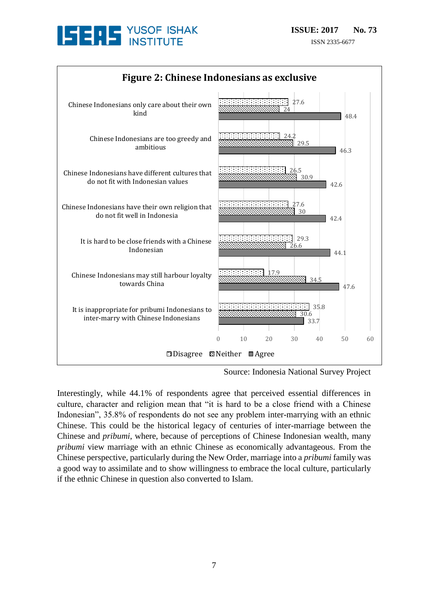



Source: Indonesia National Survey Project

Interestingly, while 44.1% of respondents agree that perceived essential differences in culture, character and religion mean that "it is hard to be a close friend with a Chinese Indonesian", 35.8% of respondents do not see any problem inter-marrying with an ethnic Chinese. This could be the historical legacy of centuries of inter-marriage between the Chinese and *pribumi*, where, because of perceptions of Chinese Indonesian wealth, many *pribumi* view marriage with an ethnic Chinese as economically advantageous. From the Chinese perspective, particularly during the New Order, marriage into a *pribumi* family was a good way to assimilate and to show willingness to embrace the local culture, particularly if the ethnic Chinese in question also converted to Islam.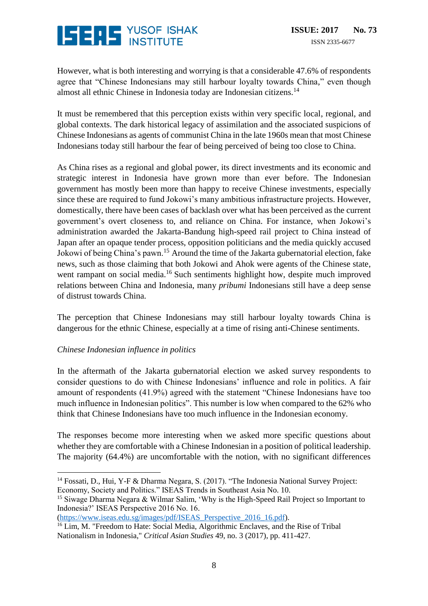## **ISERS** YUSOF ISHAK

However, what is both interesting and worrying is that a considerable 47.6% of respondents agree that "Chinese Indonesians may still harbour loyalty towards China," even though almost all ethnic Chinese in Indonesia today are Indonesian citizens.<sup>14</sup>

It must be remembered that this perception exists within very specific local, regional, and global contexts. The dark historical legacy of assimilation and the associated suspicions of Chinese Indonesians as agents of communist China in the late 1960s mean that most Chinese Indonesians today still harbour the fear of being perceived of being too close to China.

As China rises as a regional and global power, its direct investments and its economic and strategic interest in Indonesia have grown more than ever before. The Indonesian government has mostly been more than happy to receive Chinese investments, especially since these are required to fund Jokowi's many ambitious infrastructure projects. However, domestically, there have been cases of backlash over what has been perceived as the current government's overt closeness to, and reliance on China. For instance, when Jokowi's administration awarded the Jakarta-Bandung high-speed rail project to China instead of Japan after an opaque tender process, opposition politicians and the media quickly accused Jokowi of being China's pawn.<sup>15</sup> Around the time of the Jakarta gubernatorial election, fake news, such as those claiming that both Jokowi and Ahok were agents of the Chinese state, went rampant on social media.<sup>16</sup> Such sentiments highlight how, despite much improved relations between China and Indonesia, many *pribumi* Indonesians still have a deep sense of distrust towards China.

The perception that Chinese Indonesians may still harbour loyalty towards China is dangerous for the ethnic Chinese, especially at a time of rising anti-Chinese sentiments.

#### *Chinese Indonesian influence in politics*

In the aftermath of the Jakarta gubernatorial election we asked survey respondents to consider questions to do with Chinese Indonesians' influence and role in politics. A fair amount of respondents (41.9%) agreed with the statement "Chinese Indonesians have too much influence in Indonesian politics". This number is low when compared to the 62% who think that Chinese Indonesians have too much influence in the Indonesian economy.

The responses become more interesting when we asked more specific questions about whether they are comfortable with a Chinese Indonesian in a position of political leadership. The majority (64.4%) are uncomfortable with the notion, with no significant differences

<sup>15</sup> Siwage Dharma Negara & Wilmar Salim, 'Why is the High-Speed Rail Project so Important to Indonesia?' ISEAS Perspective 2016 No. 16.

[\(https://www.iseas.edu.sg/images/pdf/ISEAS\\_Perspective\\_2016\\_16.pdf\)](https://www.iseas.edu.sg/images/pdf/ISEAS_Perspective_2016_16.pdf).

<sup>&</sup>lt;u>.</u> <sup>14</sup> Fossati, D., Hui, Y-F & Dharma Negara, S. (2017). "The Indonesia National Survey Project: Economy, Society and Politics." ISEAS Trends in Southeast Asia No. 10.

<sup>&</sup>lt;sup>16</sup> Lim, M. "Freedom to Hate: Social Media, Algorithmic Enclaves, and the Rise of Tribal Nationalism in Indonesia," *Critical Asian Studies* 49, no. 3 (2017), pp. 411-427.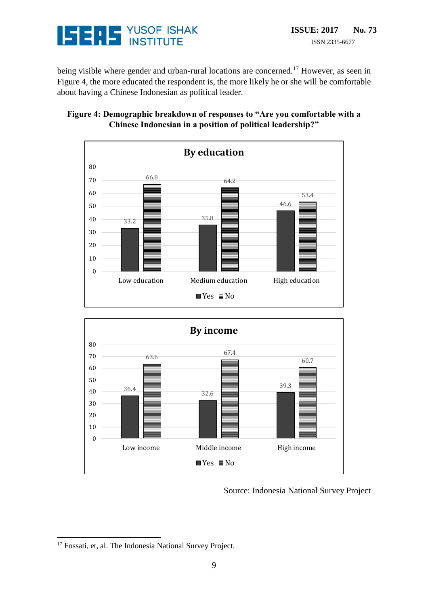

being visible where gender and urban-rural locations are concerned.<sup>17</sup> However, as seen in Figure 4, the more educated the respondent is, the more likely he or she will be comfortable about having a Chinese Indonesian as political leader.

#### **Figure 4: Demographic breakdown of responses to "Are you comfortable with a Chinese Indonesian in a position of political leadership?"**





Source: Indonesia National Survey Project

<u>.</u>

<sup>&</sup>lt;sup>17</sup> Fossati, et, al. The Indonesia National Survey Project.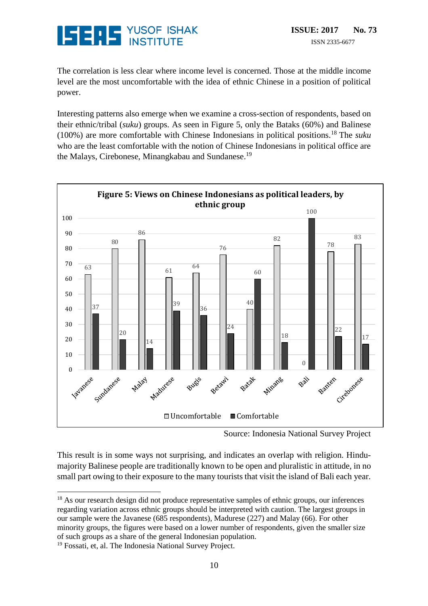

The correlation is less clear where income level is concerned. Those at the middle income level are the most uncomfortable with the idea of ethnic Chinese in a position of political power.

Interesting patterns also emerge when we examine a cross-section of respondents, based on their ethnic/tribal (*suku*) groups. As seen in Figure 5, only the Bataks (60%) and Balinese (100%) are more comfortable with Chinese Indonesians in political positions.<sup>18</sup> The *suku* who are the least comfortable with the notion of Chinese Indonesians in political office are the Malays, Cirebonese, Minangkabau and Sundanese.<sup>19</sup>



Source: Indonesia National Survey Project

This result is in some ways not surprising, and indicates an overlap with religion. Hindumajority Balinese people are traditionally known to be open and pluralistic in attitude, in no small part owing to their exposure to the many tourists that visit the island of Bali each year.

Fossati, et, al. The Indonesia National Survey Project.

<sup>&</sup>lt;u>.</u> <sup>18</sup> As our research design did not produce representative samples of ethnic groups, our inferences regarding variation across ethnic groups should be interpreted with caution. The largest groups in our sample were the Javanese (685 respondents), Madurese (227) and Malay (66). For other minority groups, the figures were based on a lower number of respondents, given the smaller size of such groups as a share of the general Indonesian population.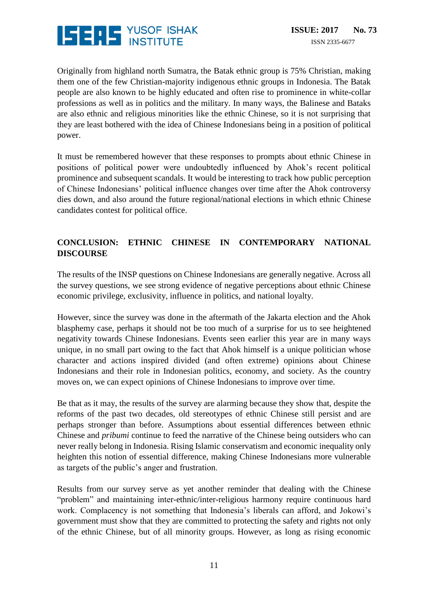

Originally from highland north Sumatra, the Batak ethnic group is 75% Christian, making them one of the few Christian-majority indigenous ethnic groups in Indonesia. The Batak people are also known to be highly educated and often rise to prominence in white-collar professions as well as in politics and the military. In many ways, the Balinese and Bataks are also ethnic and religious minorities like the ethnic Chinese, so it is not surprising that they are least bothered with the idea of Chinese Indonesians being in a position of political power.

It must be remembered however that these responses to prompts about ethnic Chinese in positions of political power were undoubtedly influenced by Ahok's recent political prominence and subsequent scandals. It would be interesting to track how public perception of Chinese Indonesians' political influence changes over time after the Ahok controversy dies down, and also around the future regional/national elections in which ethnic Chinese candidates contest for political office.

#### **CONCLUSION: ETHNIC CHINESE IN CONTEMPORARY NATIONAL DISCOURSE**

The results of the INSP questions on Chinese Indonesians are generally negative. Across all the survey questions, we see strong evidence of negative perceptions about ethnic Chinese economic privilege, exclusivity, influence in politics, and national loyalty.

However, since the survey was done in the aftermath of the Jakarta election and the Ahok blasphemy case, perhaps it should not be too much of a surprise for us to see heightened negativity towards Chinese Indonesians. Events seen earlier this year are in many ways unique, in no small part owing to the fact that Ahok himself is a unique politician whose character and actions inspired divided (and often extreme) opinions about Chinese Indonesians and their role in Indonesian politics, economy, and society. As the country moves on, we can expect opinions of Chinese Indonesians to improve over time.

Be that as it may, the results of the survey are alarming because they show that, despite the reforms of the past two decades, old stereotypes of ethnic Chinese still persist and are perhaps stronger than before. Assumptions about essential differences between ethnic Chinese and *pribumi* continue to feed the narrative of the Chinese being outsiders who can never really belong in Indonesia. Rising Islamic conservatism and economic inequality only heighten this notion of essential difference, making Chinese Indonesians more vulnerable as targets of the public's anger and frustration.

Results from our survey serve as yet another reminder that dealing with the Chinese "problem" and maintaining inter-ethnic/inter-religious harmony require continuous hard work. Complacency is not something that Indonesia's liberals can afford, and Jokowi's government must show that they are committed to protecting the safety and rights not only of the ethnic Chinese, but of all minority groups. However, as long as rising economic